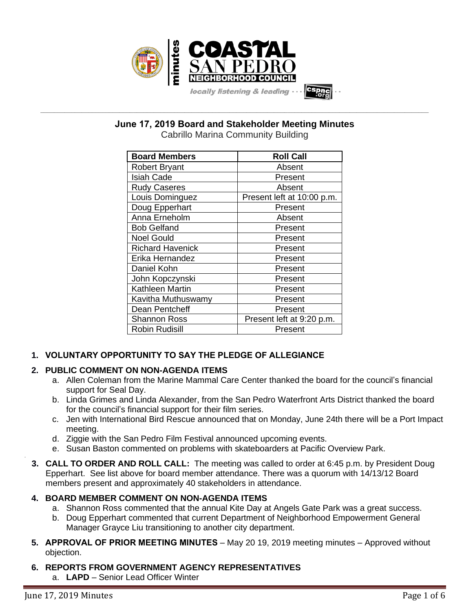

**\_\_\_\_\_\_\_\_\_\_\_\_\_\_\_\_\_\_\_\_\_\_\_\_\_\_\_\_\_\_\_\_\_\_\_\_\_\_\_\_\_\_\_\_\_\_\_\_\_\_\_\_\_\_\_\_\_\_\_\_\_\_\_\_\_\_\_\_\_\_\_\_\_\_\_\_\_\_\_\_\_\_\_\_\_\_\_\_\_\_\_\_\_\_\_\_\_\_\_\_\_\_\_\_\_\_\_\_\_\_\_\_\_ June 17, 2019 Board and Stakeholder Meeting Minutes**

Cabrillo Marina Community Building

| <b>Board Members</b>    | <b>Roll Call</b>           |
|-------------------------|----------------------------|
| <b>Robert Bryant</b>    | Absent                     |
| <b>Isiah Cade</b>       | Present                    |
| <b>Rudy Caseres</b>     | Absent                     |
| Louis Dominguez         | Present left at 10:00 p.m. |
| Doug Epperhart          | Present                    |
| Anna Erneholm           | Absent                     |
| <b>Bob Gelfand</b>      | Present                    |
| <b>Noel Gould</b>       | Present                    |
| <b>Richard Havenick</b> | Present                    |
| Erika Hernandez         | Present                    |
| Daniel Kohn             | Present                    |
| John Kopczynski         | Present                    |
| Kathleen Martin         | Present                    |
| Kavitha Muthuswamy      | Present                    |
| Dean Pentcheff          | Present                    |
| <b>Shannon Ross</b>     | Present left at 9:20 p.m.  |
| <b>Robin Rudisill</b>   | Present                    |

# **1. VOLUNTARY OPPORTUNITY TO SAY THE PLEDGE OF ALLEGIANCE**

# **2. PUBLIC COMMENT ON NON-AGENDA ITEMS**

- a. Allen Coleman from the Marine Mammal Care Center thanked the board for the council's financial support for Seal Day.
- b. Linda Grimes and Linda Alexander, from the San Pedro Waterfront Arts District thanked the board for the council's financial support for their film series.
- c. Jen with International Bird Rescue announced that on Monday, June 24th there will be a Port Impact meeting.
- d. Ziggie with the San Pedro Film Festival announced upcoming events.
- e. Susan Baston commented on problems with skateboarders at Pacific Overview Park.
- **3. CALL TO ORDER AND ROLL CALL:** The meeting was called to order at 6:45 p.m. by President Doug Epperhart. See list above for board member attendance. There was a quorum with 14/13/12 Board members present and approximately 40 stakeholders in attendance.

# **4. BOARD MEMBER COMMENT ON NON-AGENDA ITEMS**

- a. Shannon Ross commented that the annual Kite Day at Angels Gate Park was a great success.
- b. Doug Epperhart commented that current Department of Neighborhood Empowerment General Manager Grayce Liu transitioning to another city department.
- **5. APPROVAL OF PRIOR MEETING MINUTES** May 20 19, 2019 meeting minutes Approved without objection.

# **6. REPORTS FROM GOVERNMENT AGENCY REPRESENTATIVES**

a. **LAPD** – Senior Lead Officer Winter

.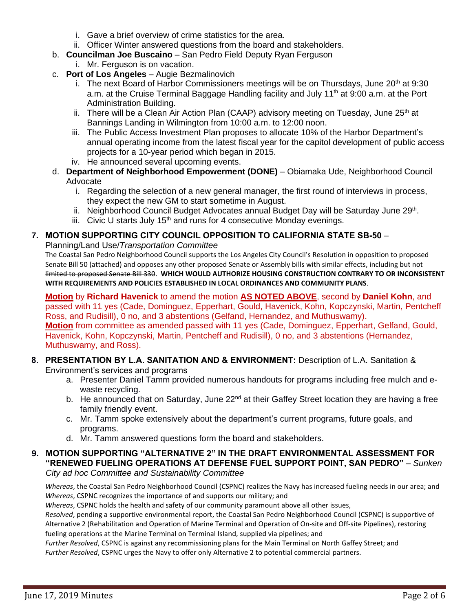- i. Gave a brief overview of crime statistics for the area.
- ii. Officer Winter answered questions from the board and stakeholders.
- b. **Councilman Joe Buscaino** San Pedro Field Deputy Ryan Ferguson
	- i. Mr. Ferguson is on vacation.
- c. **Port of Los Angeles** Augie Bezmalinovich
	- i. The next Board of Harbor Commissioners meetings will be on Thursdays, June  $20<sup>th</sup>$  at 9:30 a.m. at the Cruise Terminal Baggage Handling facility and July 11<sup>th</sup> at 9:00 a.m. at the Port Administration Building.
	- ii. There will be a Clean Air Action Plan (CAAP) advisory meeting on Tuesday, June 25<sup>th</sup> at Bannings Landing in Wilmington from 10:00 a.m. to 12:00 noon.
	- iii. The Public Access Investment Plan proposes to allocate 10% of the Harbor Department's annual operating income from the latest fiscal year for the capitol development of public access projects for a 10-year period which began in 2015.
	- iv. He announced several upcoming events.
- d. **Department of Neighborhood Empowerment (DONE)** Obiamaka Ude, Neighborhood Council Advocate
	- i. Regarding the selection of a new general manager, the first round of interviews in process, they expect the new GM to start sometime in August.
	- ii. Neighborhood Council Budget Advocates annual Budget Day will be Saturday June 29<sup>th</sup>.
	- iii. Civic U starts July  $15<sup>th</sup>$  and runs for 4 consecutive Monday evenings.

# **7. MOTION SUPPORTING CITY COUNCIL OPPOSITION TO CALIFORNIA STATE SB-50** –

Planning/Land Use/*Transportation Committee* 

The Coastal San Pedro Neighborhood Council supports the Los Angeles City Council's Resolution in opposition to proposed Senate Bill 50 (attached) and opposes any other proposed Senate or Assembly bills with similar effects, including but not limited to proposed Senate Bill 330. **WHICH WOULD AUTHORIZE HOUSING CONSTRUCTION CONTRARY TO OR INCONSISTENT WITH REQUIREMENTS AND POLICIES ESTABLISHED IN LOCAL ORDINANCES AND COMMUNITY PLANS**.

**Motion** by **Richard Havenick** to amend the motion **AS NOTED ABOVE**, second by **Daniel Kohn**, and passed with 11 yes (Cade, Dominguez, Epperhart, Gould, Havenick, Kohn, Kopczynski, Martin, Pentcheff Ross, and Rudisill), 0 no, and 3 abstentions (Gelfand, Hernandez, and Muthuswamy). **Motion** from committee as amended passed with 11 yes (Cade, Dominguez, Epperhart, Gelfand, Gould, Havenick, Kohn, Kopczynski, Martin, Pentcheff and Rudisill), 0 no, and 3 abstentions (Hernandez, Muthuswamy, and Ross).

## **8. PRESENTATION BY L.A. SANITATION AND & ENVIRONMENT:** Description of L.A. Sanitation & Environment's services and programs

- a. Presenter Daniel Tamm provided numerous handouts for programs including free mulch and ewaste recycling.
- b. He announced that on Saturday, June 22<sup>nd</sup> at their Gaffey Street location they are having a free family friendly event.
- c. Mr. Tamm spoke extensively about the department's current programs, future goals, and programs.
- d. Mr. Tamm answered questions form the board and stakeholders.

# **9. MOTION SUPPORTING "ALTERNATIVE 2" IN THE DRAFT ENVIRONMENTAL ASSESSMENT FOR "RENEWED FUELING OPERATIONS AT DEFENSE FUEL SUPPORT POINT, SAN PEDRO"** – *Sunken*

*City ad hoc Committee and Sustainability Committee*

*Whereas*, the Coastal San Pedro Neighborhood Council (CSPNC) realizes the Navy has increased fueling needs in our area; and *Whereas*, CSPNC recognizes the importance of and supports our military; and

*Whereas*, CSPNC holds the health and safety of our community paramount above all other issues,

*Resolved*, pending a supportive environmental report, the Coastal San Pedro Neighborhood Council (CSPNC) is supportive of Alternative 2 (Rehabilitation and Operation of Marine Terminal and Operation of On-site and Off-site Pipelines), restoring fueling operations at the Marine Terminal on Terminal Island, supplied via pipelines; and

*Further Resolved*, CSPNC is against any recommissioning plans for the Main Terminal on North Gaffey Street; and *Further Resolved*, CSPNC urges the Navy to offer only Alternative 2 to potential commercial partners.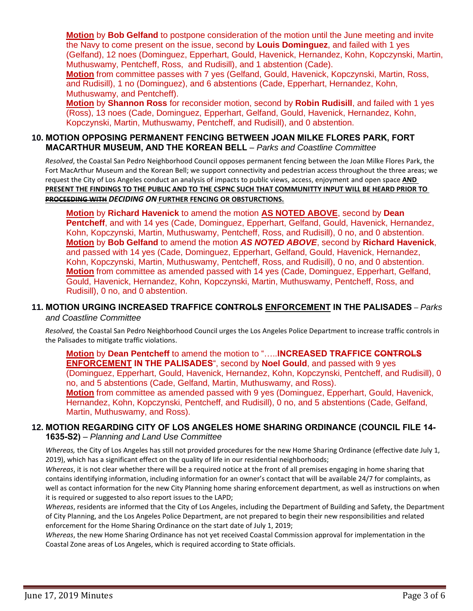**Motion** by **Bob Gelfand** to postpone consideration of the motion until the June meeting and invite the Navy to come present on the issue, second by **Louis Dominguez**, and failed with 1 yes (Gelfand), 12 noes (Dominguez, Epperhart, Gould, Havenick, Hernandez, Kohn, Kopczynski, Martin, Muthuswamy, Pentcheff, Ross, and Rudisill), and 1 abstention (Cade).

**Motion** from committee passes with 7 yes (Gelfand, Gould, Havenick, Kopczynski, Martin, Ross, and Rudisill), 1 no (Dominguez), and 6 abstentions (Cade, Epperhart, Hernandez, Kohn, Muthuswamy, and Pentcheff).

**Motion** by **Shannon Ross** for reconsider motion, second by **Robin Rudisill**, and failed with 1 yes (Ross), 13 noes (Cade, Dominguez, Epperhart, Gelfand, Gould, Havenick, Hernandez, Kohn, Kopczynski, Martin, Muthuswamy, Pentcheff, and Rudisill), and 0 abstention.

#### **10. MOTION OPPOSING PERMANENT FENCING BETWEEN JOAN MILKE FLORES PARK, FORT MACARTHUR MUSEUM, AND THE KOREAN BELL** – *Parks and Coastline Committee*

*Resolved*, the Coastal San Pedro Neighborhood Council opposes permanent fencing between the Joan Milke Flores Park, the Fort MacArthur Museum and the Korean Bell; we support connectivity and pedestrian access throughout the three areas; we request the City of Los Angeles conduct an analysis of impacts to public views, access, enjoyment and open space **AND PRESENT THE FINDINGS TO THE PUBLIC AND TO THE CSPNC SUCH THAT COMMUNITTY INPUT WILL BE HEARD PRIOR TO PROCEEDING WITH** *DECIDING ON* **FURTHER FENCING OR OBSTURCTIONS.**

**Motion** by **Richard Havenick** to amend the motion **AS NOTED ABOVE**, second by **Dean Pentcheff**, and with 14 yes (Cade, Dominguez, Epperhart, Gelfand, Gould, Havenick, Hernandez, Kohn, Kopczynski, Martin, Muthuswamy, Pentcheff, Ross, and Rudisill), 0 no, and 0 abstention. **Motion** by **Bob Gelfand** to amend the motion *AS NOTED ABOVE*, second by **Richard Havenick**, and passed with 14 yes (Cade, Dominguez, Epperhart, Gelfand, Gould, Havenick, Hernandez, Kohn, Kopczynski, Martin, Muthuswamy, Pentcheff, Ross, and Rudisill), 0 no, and 0 abstention. **Motion** from committee as amended passed with 14 yes (Cade, Dominguez, Epperhart, Gelfand, Gould, Havenick, Hernandez, Kohn, Kopczynski, Martin, Muthuswamy, Pentcheff, Ross, and Rudisill), 0 no, and 0 abstention.

# **11. MOTION URGING INCREASED TRAFFICE CONTROLS ENFORCEMENT IN THE PALISADES** – *Parks*

#### *and Coastline Committee*

*Resolved,* the Coastal San Pedro Neighborhood Council urges the Los Angeles Police Department to increase traffic controls in the Palisades to mitigate traffic violations.

**Motion** by **Dean Pentcheff** to amend the motion to "…..**INCREASED TRAFFICE CONTROLS ENFORCEMENT IN THE PALISADES**", second by **Noel Gould**, and passed with 9 yes (Dominguez, Epperhart, Gould, Havenick, Hernandez, Kohn, Kopczynski, Pentcheff, and Rudisill), 0 no, and 5 abstentions (Cade, Gelfand, Martin, Muthuswamy, and Ross). **Motion** from committee as amended passed with 9 yes (Dominguez, Epperhart, Gould, Havenick, Hernandez, Kohn, Kopczynski, Pentcheff, and Rudisill), 0 no, and 5 abstentions (Cade, Gelfand, Martin, Muthuswamy, and Ross).

#### **12. MOTION REGARDING CITY OF LOS ANGELES HOME SHARING ORDINANCE (COUNCIL FILE 14- 1635-S2)** – *Planning and Land Use Committee*

*Whereas,* the City of Los Angeles has still not provided procedures for the new Home Sharing Ordinance (effective date July 1, 2019), which has a significant effect on the quality of life in our residential neighborhoods;

*Whereas*, it is not clear whether there will be a required notice at the front of all premises engaging in home sharing that contains identifying information, including information for an owner's contact that will be available 24/7 for complaints, as well as contact information for the new City Planning home sharing enforcement department, as well as instructions on when it is required or suggested to also report issues to the LAPD;

*Whereas*, residents are informed that the City of Los Angeles, including the Department of Building and Safety, the Department of City Planning, and the Los Angeles Police Department, are not prepared to begin their new responsibilities and related enforcement for the Home Sharing Ordinance on the start date of July 1, 2019;

*Whereas*, the new Home Sharing Ordinance has not yet received Coastal Commission approval for implementation in the Coastal Zone areas of Los Angeles, which is required according to State officials.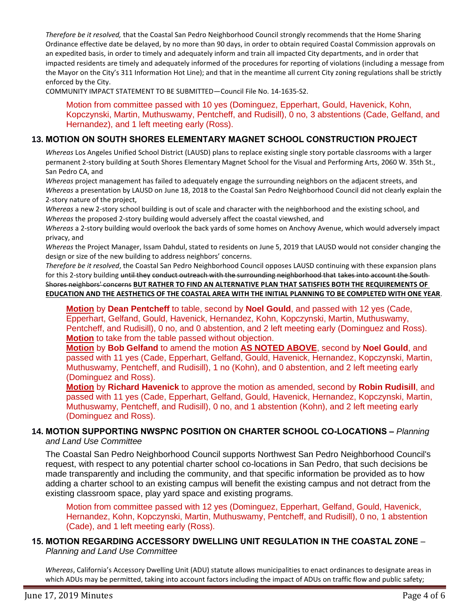*Therefore be it resolved,* that the Coastal San Pedro Neighborhood Council strongly recommends that the Home Sharing Ordinance effective date be delayed, by no more than 90 days, in order to obtain required Coastal Commission approvals on an expedited basis, in order to timely and adequately inform and train all impacted City departments, and in order that impacted residents are timely and adequately informed of the procedures for reporting of violations (including a message from the Mayor on the City's 311 Information Hot Line); and that in the meantime all current City zoning regulations shall be strictly enforced by the City.

COMMUNITY IMPACT STATEMENT TO BE SUBMITTED—Council File No. 14-1635-S2.

Motion from committee passed with 10 yes (Dominguez, Epperhart, Gould, Havenick, Kohn, Kopczynski, Martin, Muthuswamy, Pentcheff, and Rudisill), 0 no, 3 abstentions (Cade, Gelfand, and Hernandez), and 1 left meeting early (Ross).

## **13. MOTION ON SOUTH SHORES ELEMENTARY MAGNET SCHOOL CONSTRUCTION PROJECT**

*Whereas* Los Angeles Unified School District (LAUSD) plans to replace existing single story portable classrooms with a larger permanent 2-story building at South Shores Elementary Magnet School for the Visual and Performing Arts, 2060 W. 35th St., San Pedro CA, and

*Whereas* project management has failed to adequately engage the surrounding neighbors on the adjacent streets, and *Whereas* a presentation by LAUSD on June 18, 2018 to the Coastal San Pedro Neighborhood Council did not clearly explain the 2-story nature of the project,

*Whereas* a new 2-story school building is out of scale and character with the neighborhood and the existing school, and *Whereas* the proposed 2-story building would adversely affect the coastal viewshed, and

*Whereas* a 2-story building would overlook the back yards of some homes on Anchovy Avenue, which would adversely impact privacy, and

*Whereas* the Project Manager, Issam Dahdul, stated to residents on June 5, 2019 that LAUSD would not consider changing the design or size of the new building to address neighbors' concerns.

*Therefore be it resolved*, the Coastal San Pedro Neighborhood Council opposes LAUSD continuing with these expansion plans for this 2-story building until they conduct outreach with the surrounding neighborhood that takes into account the South-Shores neighbors' concerns **BUT RATHER TO FIND AN ALTERNATIVE PLAN THAT SATISFIES BOTH THE REQUIREMENTS OF EDUCATION AND THE AESTHETICS OF THE COASTAL AREA WITH THE INITIAL PLANNING TO BE COMPLETED WITH ONE YEAR**.

**Motion** by **Dean Pentcheff** to table, second by **Noel Gould**, and passed with 12 yes (Cade, Epperhart, Gelfand, Gould, Havenick, Hernandez, Kohn, Kopczynski, Martin, Muthuswamy, Pentcheff, and Rudisill), 0 no, and 0 abstention, and 2 left meeting early (Dominguez and Ross). **Motion** to take from the table passed without objection.

**Motion** by **Bob Gelfand** to amend the motion **AS NOTED ABOVE**, second by **Noel Gould**, and passed with 11 yes (Cade, Epperhart, Gelfand, Gould, Havenick, Hernandez, Kopczynski, Martin, Muthuswamy, Pentcheff, and Rudisill), 1 no (Kohn), and 0 abstention, and 2 left meeting early (Dominguez and Ross).

**Motion** by **Richard Havenick** to approve the motion as amended, second by **Robin Rudisill**, and passed with 11 yes (Cade, Epperhart, Gelfand, Gould, Havenick, Hernandez, Kopczynski, Martin, Muthuswamy, Pentcheff, and Rudisill), 0 no, and 1 abstention (Kohn), and 2 left meeting early (Dominguez and Ross).

#### **14. MOTION SUPPORTING NWSPNC POSITION ON CHARTER SCHOOL CO-LOCATIONS –** *Planning and Land Use Committee*

The Coastal San Pedro Neighborhood Council supports Northwest San Pedro Neighborhood Council's request, with respect to any potential charter school co-locations in San Pedro, that such decisions be made transparently and including the community, and that specific information be provided as to how adding a charter school to an existing campus will benefit the existing campus and not detract from the existing classroom space, play yard space and existing programs.

Motion from committee passed with 12 yes (Dominguez, Epperhart, Gelfand, Gould, Havenick, Hernandez, Kohn, Kopczynski, Martin, Muthuswamy, Pentcheff, and Rudisill), 0 no, 1 abstention (Cade), and 1 left meeting early (Ross).

## **15. MOTION REGARDING ACCESSORY DWELLING UNIT REGULATION IN THE COASTAL ZONE** – *Planning and Land Use Committee*

*Whereas*, California's Accessory Dwelling Unit (ADU) statute allows municipalities to enact ordinances to designate areas in which ADUs may be permitted, taking into account factors including the impact of ADUs on traffic flow and public safety;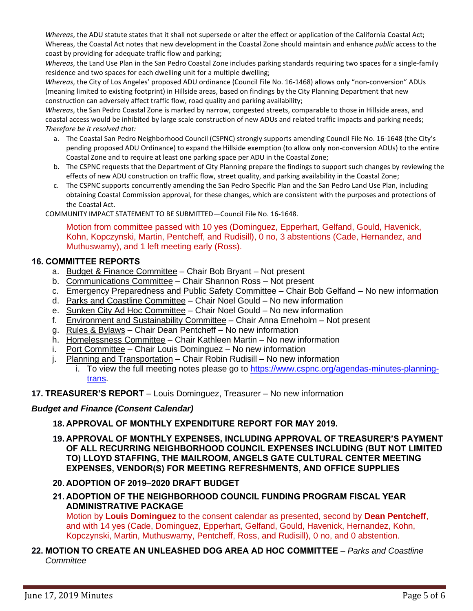*Whereas*, the ADU statute states that it shall not supersede or alter the effect or application of the California Coastal Act; Whereas, the Coastal Act notes that new development in the Coastal Zone should maintain and enhance *public* access to the coast by providing for adequate traffic flow and parking;

*Whereas*, the Land Use Plan in the San Pedro Coastal Zone includes parking standards requiring two spaces for a single-family residence and two spaces for each dwelling unit for a multiple dwelling;

*Whereas*, the City of Los Angeles' proposed ADU ordinance (Council File No. 16-1468) allows only "non-conversion" ADUs (meaning limited to existing footprint) in Hillside areas, based on findings by the City Planning Department that new construction can adversely affect traffic flow, road quality and parking availability;

*Whereas*, the San Pedro Coastal Zone is marked by narrow, congested streets, comparable to those in Hillside areas, and coastal access would be inhibited by large scale construction of new ADUs and related traffic impacts and parking needs; *Therefore be it resolved that:*

- a. The Coastal San Pedro Neighborhood Council (CSPNC) strongly supports amending Council File No. 16-1648 (the City's pending proposed ADU Ordinance) to expand the Hillside exemption (to allow only non-conversion ADUs) to the entire Coastal Zone and to require at least one parking space per ADU in the Coastal Zone;
- b. The CSPNC requests that the Department of City Planning prepare the findings to support such changes by reviewing the effects of new ADU construction on traffic flow, street quality, and parking availability in the Coastal Zone;
- c. The CSPNC supports concurrently amending the San Pedro Specific Plan and the San Pedro Land Use Plan, including obtaining Coastal Commission approval, for these changes, which are consistent with the purposes and protections of the Coastal Act.

COMMUNITY IMPACT STATEMENT TO BE SUBMITTED—Council File No. 16-1648.

Motion from committee passed with 10 yes (Dominguez, Epperhart, Gelfand, Gould, Havenick, Kohn, Kopczynski, Martin, Pentcheff, and Rudisill), 0 no, 3 abstentions (Cade, Hernandez, and Muthuswamy), and 1 left meeting early (Ross).

#### **16. COMMITTEE REPORTS**

- a. Budget & Finance Committee Chair Bob Bryant Not present
- b. Communications Committee Chair Shannon Ross Not present
- c. Emergency Preparedness and Public Safety Committee Chair Bob Gelfand No new information
- d. Parks and Coastline Committee Chair Noel Gould No new information
- e. Sunken City Ad Hoc Committee Chair Noel Gould No new information
- f. Environment and Sustainability Committee Chair Anna Erneholm Not present
- g. Rules & Bylaws Chair Dean Pentcheff No new information
- h. Homelessness Committee Chair Kathleen Martin No new information
- i. Port Committee Chair Louis Dominguez No new information
- j. Planning and Transportation Chair Robin Rudisill No new information
	- i. To view the full meeting notes please go to [https://www.cspnc.org/agendas-minutes-planning](https://www.cspnc.org/agendas-minutes-planning-trans)[trans.](https://www.cspnc.org/agendas-minutes-planning-trans)
- **17. TREASURER'S REPORT** Louis Dominguez, Treasurer No new information

# *Budget and Finance (Consent Calendar)*

- **18. APPROVAL OF MONTHLY EXPENDITURE REPORT FOR MAY 2019.**
- **19. APPROVAL OF MONTHLY EXPENSES, INCLUDING APPROVAL OF TREASURER'S PAYMENT OF ALL RECURRING NEIGHBORHOOD COUNCIL EXPENSES INCLUDING (BUT NOT LIMITED TO) LLOYD STAFFING, THE MAILROOM, ANGELS GATE CULTURAL CENTER MEETING EXPENSES, VENDOR(S) FOR MEETING REFRESHMENTS, AND OFFICE SUPPLIES**
- **20. ADOPTION OF 2019–2020 DRAFT BUDGET**
- **21. ADOPTION OF THE NEIGHBORHOOD COUNCIL FUNDING PROGRAM FISCAL YEAR ADMINISTRATIVE PACKAGE**

Motion by **Louis Dominguez** to the consent calendar as presented, second by **Dean Pentcheff**, and with 14 yes (Cade, Dominguez, Epperhart, Gelfand, Gould, Havenick, Hernandez, Kohn, Kopczynski, Martin, Muthuswamy, Pentcheff, Ross, and Rudisill), 0 no, and 0 abstention.

**22. MOTION TO CREATE AN UNLEASHED DOG AREA AD HOC COMMITTEE** – *Parks and Coastline Committee*